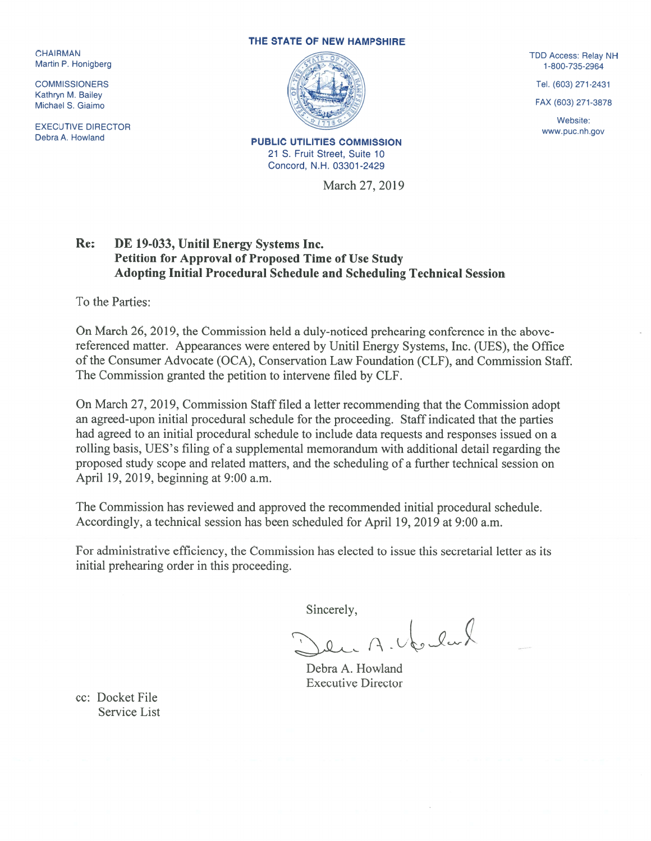Martin P. Honigberg

Kathryn M. Bailey

EXECUTIVE DIRECTOR WEDGET AND RECONSIDER THE MUSIC.<br>Debra A. Howland Www.puc.nh.gov

## THE STATE OF NEW HAMPSHIRE



21 S. Fruit Street, Suite 10 Concord, N.H. 03301-2429

March 27, 2019

Website:

## Re: DE 19-033, Unitil Energy Systems Inc. Petition for Approval of Proposed Time of Use Study Adopting Initial Procedural Schedule and Scheduling Technical Session

To the Parties:

On March 26, 2019, the Commission held a duly-noticed prehearing conference in the abovereferenced matter. Appearances were entered by Unitil Energy Systems, Inc. (UES), the Office of the Consumer Advocate (OCA), Conservation Law Foundation (CLF), and Commission Staff. The Commission granted the petition to intervene filed by CLF.

On March 27, 2019, Commission Staff filed a letter recommending that the Commission adopt an agreed-upon initial procedural schedule for the proceeding. Staff indicated that the parties had agreed to an initial procedural schedule to include data requests and responses issued on <sup>a</sup> rolling basis, UES's filing of <sup>a</sup> supplemental memorandum with additional detail regarding the proposed study scope and related matters, and the scheduling of <sup>a</sup> further technical session on April 19, 2019, beginning at 9:00 a.m.

The Commission has reviewed and approved the recommended initial procedural schedule. Accordingly, <sup>a</sup> technical session has been scheduled for April 19, 2019 at 9:00 a.m.

for administrative efficiency, the Commission has elected to issue this secretarial letter as its initial prehearing order in this proceeding.

Sincerely,

A. Veslat

Debra A. Howland Executive Director

cc: Docket File Service List